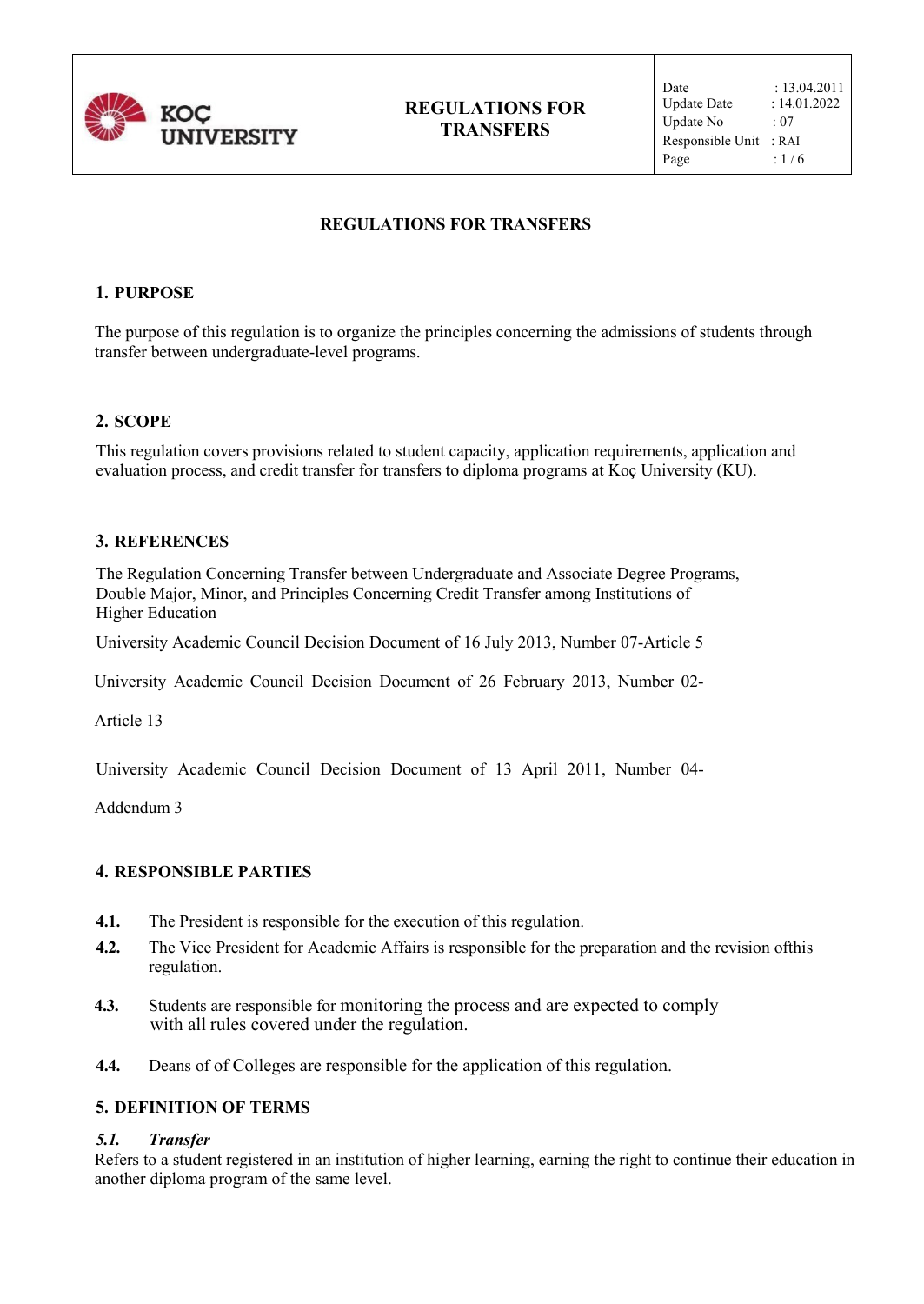

# **REGULATIONS FOR TRANSFERS**

### **1. PURPOSE**

The purpose of this regulation is to organize the principles concerning the admissions of students through transfer between undergraduate-level programs.

### **2. SCOPE**

This regulation covers provisions related to student capacity, application requirements, application and evaluation process, and credit transfer for transfers to diploma programs at Koç University (KU).

### **3. REFERENCES**

The Regulation Concerning Transfer between Undergraduate and Associate Degree Programs, Double Major, Minor, and Principles Concerning Credit Transfer among Institutions of Higher Education

University Academic Council Decision Document of 16 July 2013, Number 07-Article 5

University Academic Council Decision Document of 26 February 2013, Number 02-

Article 13

University Academic Council Decision Document of 13 April 2011, Number 04-

Addendum 3

## **4. RESPONSIBLE PARTIES**

- **4.1.** The President is responsible for the execution of this regulation.
- **4.2.** The Vice President for Academic Affairs is responsible for the preparation and the revision ofthis regulation.
- **4.3.** Students are responsible for monitoring the process and are expected to comply with all rules covered under the regulation.
- **4.4.** Deans of of Colleges are responsible for the application of this regulation.

## **5. DEFINITION OF TERMS**

#### *5.1. Transfer*

Refers to a student registered in an institution of higher learning, earning the right to continue their education in another diploma program of the same level.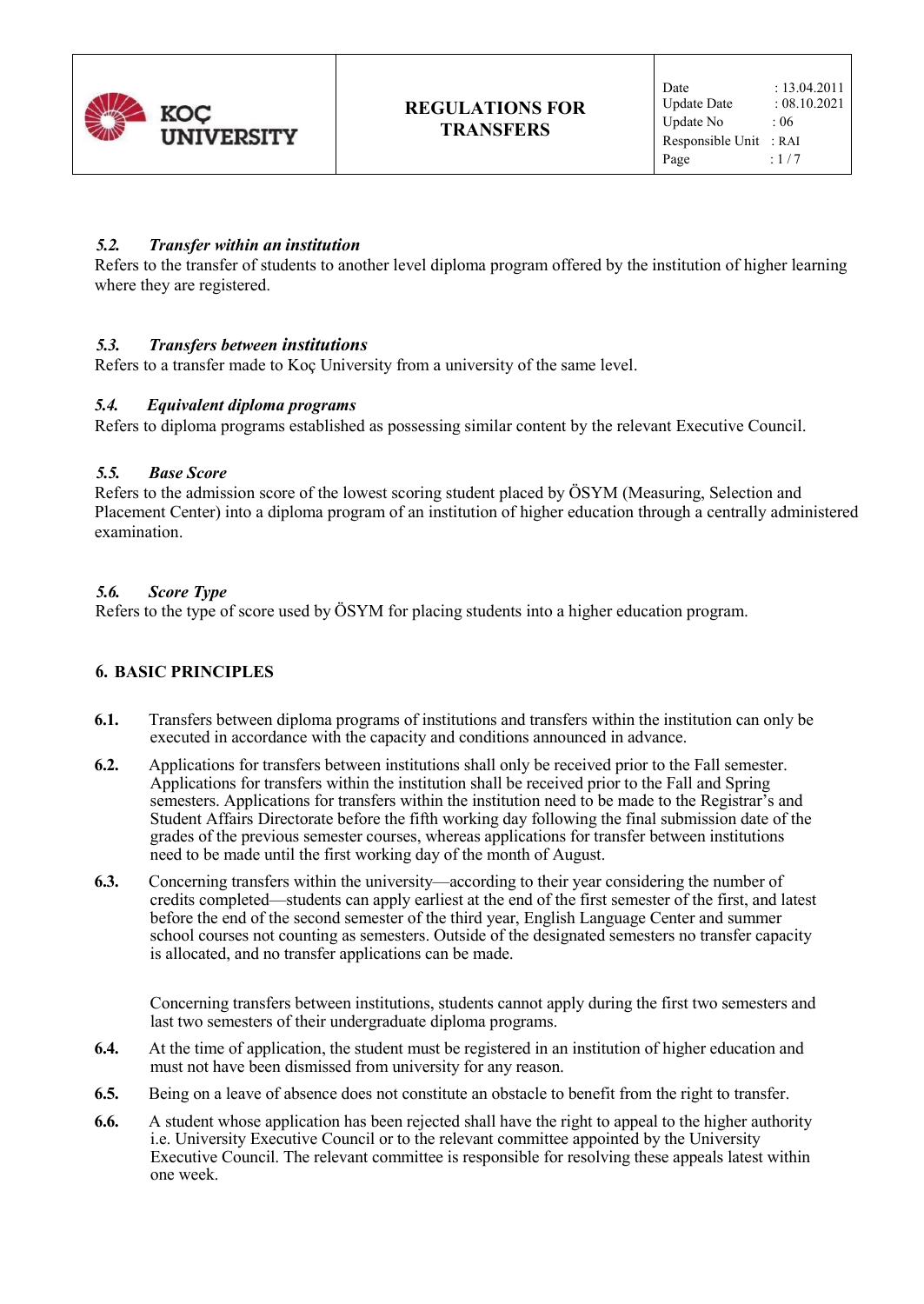

## *5.2. Transfer within an institution*

Refers to the transfer of students to another level diploma program offered by the institution of higher learning where they are registered.

### *5.3. Transfers between institutions*

Refers to a transfer made to Koç University from a university of the same level.

### *5.4. Equivalent diploma programs*

Refers to diploma programs established as possessing similar content by the relevant Executive Council.

#### *5.5. Base Score*

Refers to the admission score of the lowest scoring student placed by ÖSYM (Measuring, Selection and Placement Center) into a diploma program of an institution of higher education through a centrally administered examination.

### *5.6. Score Type*

Refers to the type of score used by ÖSYM for placing students into a higher education program.

#### **6. BASIC PRINCIPLES**

- **6.1.** Transfers between diploma programs of institutions and transfers within the institution can only be executed in accordance with the capacity and conditions announced in advance.
- **6.2.** Applications for transfers between institutions shall only be received prior to the Fall semester. Applications for transfers within the institution shall be received prior to the Fall and Spring semesters. Applications for transfers within the institution need to be made to the Registrar's and Student Affairs Directorate before the fifth working day following the final submission date of the grades of the previous semester courses, whereas applications for transfer between institutions need to be made until the first working day of the month of August.
- **6.3.** Concerning transfers within the university—according to their year considering the number of credits completed—students can apply earliest at the end of the first semester of the first, and latest before the end of the second semester of the third year, English Language Center and summer school courses not counting as semesters. Outside of the designated semesters no transfer capacity is allocated, and no transfer applications can be made.

Concerning transfers between institutions, students cannot apply during the first two semesters and last two semesters of their undergraduate diploma programs.

- **6.4.** At the time of application, the student must be registered in an institution of higher education and must not have been dismissed from university for any reason.
- **6.5.** Being on a leave of absence does not constitute an obstacle to benefit from the right to transfer.
- **6.6.** A student whose application has been rejected shall have the right to appeal to the higher authority i.e. University Executive Council or to the relevant committee appointed by the University Executive Council. The relevant committee is responsible for resolving these appeals latest within one week.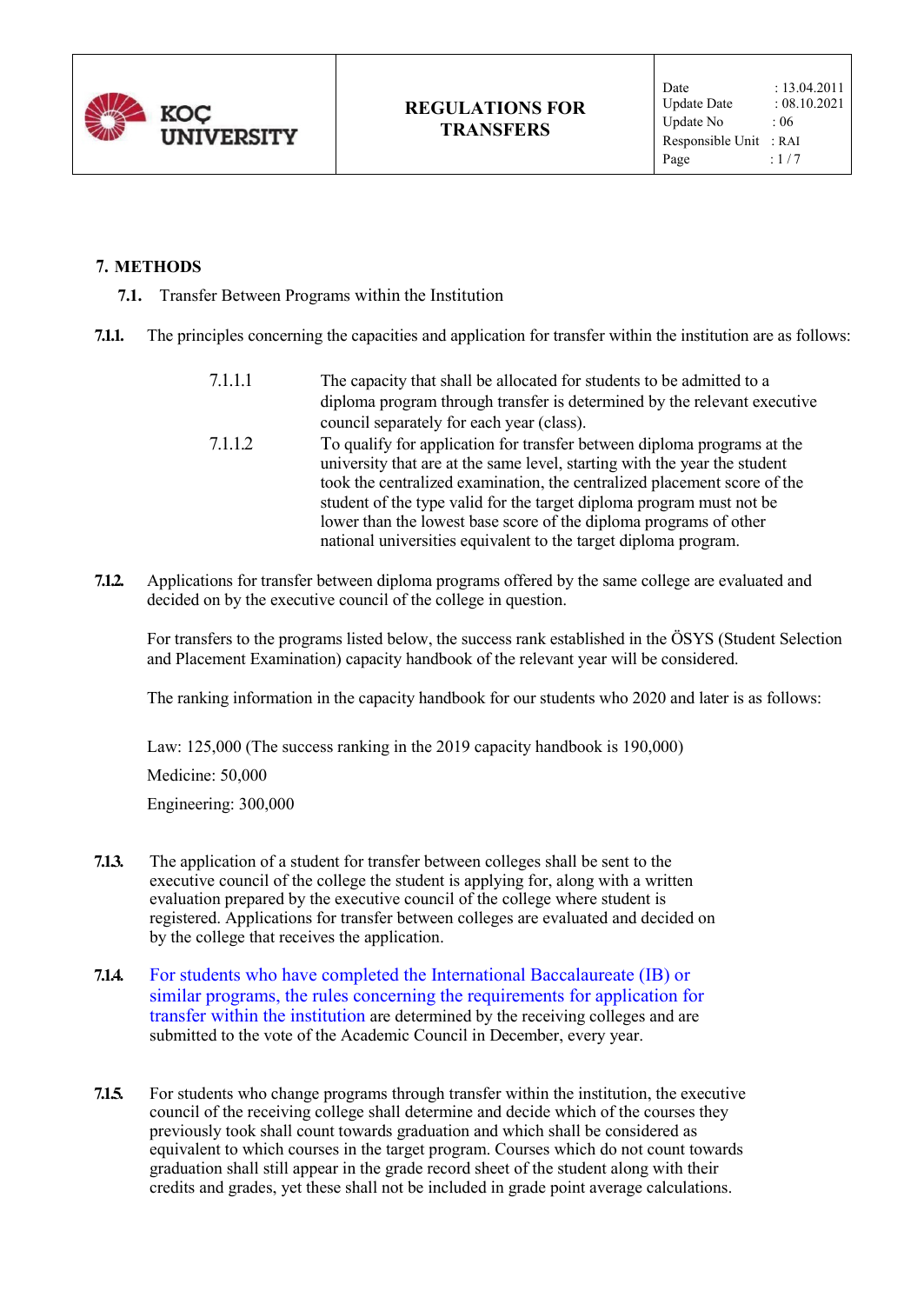

## **7. METHODS**

- **7.1.** Transfer Between Programs within the Institution
- **7.1.1.** The principles concerning the capacities and application for transfer within the institution are as follows:

| 7.1.1.1 | The capacity that shall be allocated for students to be admitted to a     |
|---------|---------------------------------------------------------------------------|
|         | diploma program through transfer is determined by the relevant executive  |
|         | council separately for each year (class).                                 |
| 7.1.1.2 | To qualify for application for transfer between diploma programs at the   |
|         | university that are at the same level, starting with the year the student |
|         | took the centralized examination, the centralized placement score of the  |
|         | student of the type valid for the target diploma program must not be      |
|         | lower than the lowest base score of the diploma programs of other         |
|         | national universities equivalent to the target diploma program.           |

**7.1.2.** Applications for transfer between diploma programs offered by the same college are evaluated and decided on by the executive council of the college in question.

For transfers to the programs listed below, the success rank established in the ÖSYS (Student Selection and Placement Examination) capacity handbook of the relevant year will be considered.

The ranking information in the capacity handbook for our students who 2020 and later is as follows:

Law: 125,000 (The success ranking in the 2019 capacity handbook is 190,000)

Medicine: 50,000

Engineering: 300,000

- **7.1.3.** The application of a student for transfer between colleges shall be sent to the executive council of the college the student is applying for, along with a written evaluation prepared by the executive council of the college where student is registered. Applications for transfer between colleges are evaluated and decided on by the college that receives the application.
- **7.1.4.** For students who have completed the International Baccalaureate (IB) or similar programs, the rules concerning the requirements for application for transfer within the institution are determined by the receiving colleges and are submitted to the vote of the Academic Council in December, every year.
- **7.1.5.** For students who change programs through transfer within the institution, the executive council of the receiving college shall determine and decide which of the courses they previously took shall count towards graduation and which shall be considered as equivalent to which courses in the target program. Courses which do not count towards graduation shall still appear in the grade record sheet of the student along with their credits and grades, yet these shall not be included in grade point average calculations.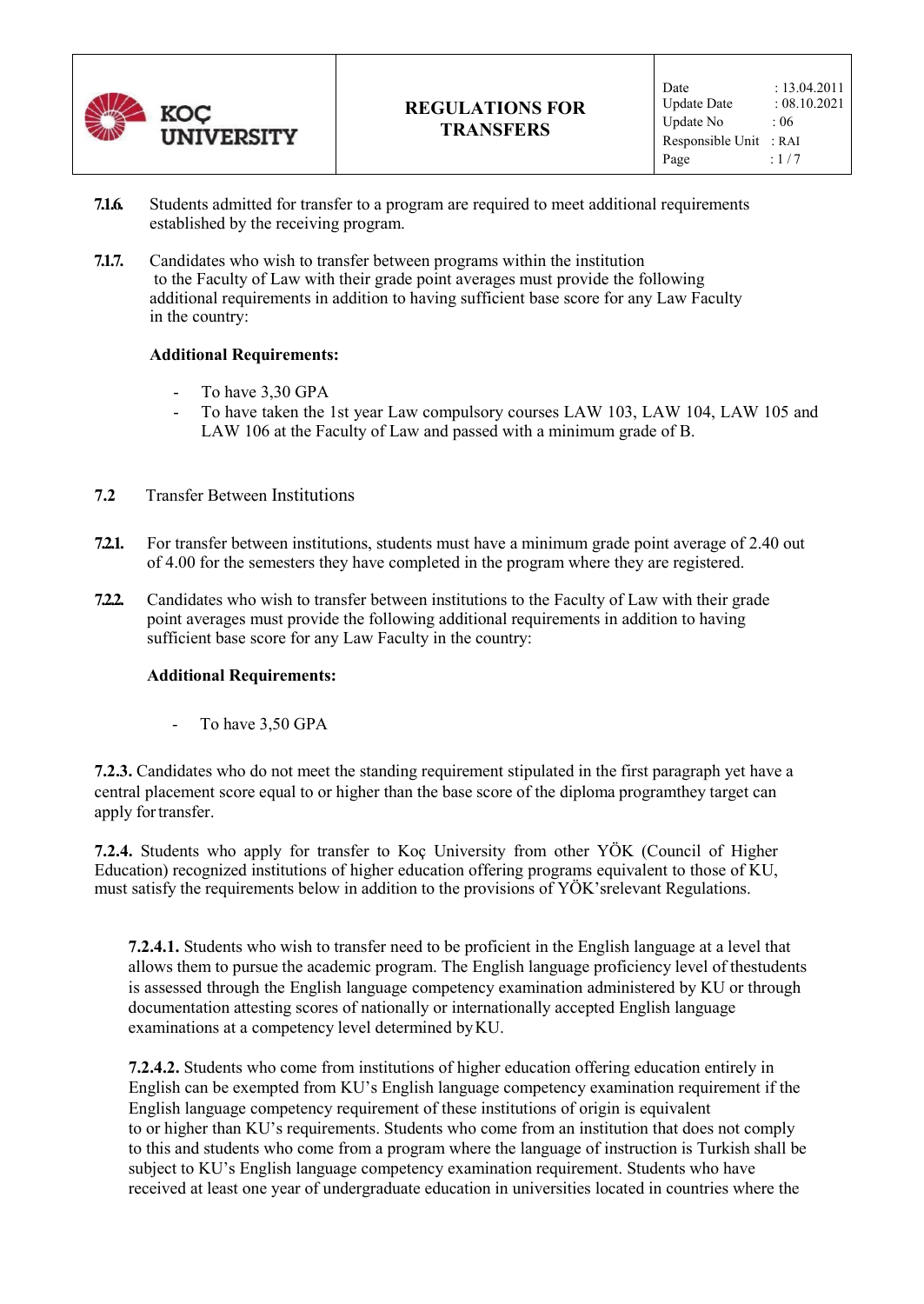

- **7.1.6.** Students admitted for transfer to a program are required to meet additional requirements established by the receiving program.
- **7.1.7.** Candidates who wish to transfer between programs within the institution to the Faculty of Law with their grade point averages must provide the following additional requirements in addition to having sufficient base score for any Law Faculty in the country:

#### **Additional Requirements:**

- To have 3,30 GPA
- To have taken the 1st year Law compulsory courses LAW 103, LAW 104, LAW 105 and LAW 106 at the Faculty of Law and passed with a minimum grade of B.
- **7.2** Transfer Between Institutions
- **7.2.1.** For transfer between institutions, students must have a minimum grade point average of 2.40 out of 4.00 for the semesters they have completed in the program where they are registered.
- **7.2.2.** Candidates who wish to transfer between institutions to the Faculty of Law with their grade point averages must provide the following additional requirements in addition to having sufficient base score for any Law Faculty in the country:

#### **Additional Requirements:**

- To have 3,50 GPA

**7.2.3.** Candidates who do not meet the standing requirement stipulated in the first paragraph yet have a central placement score equal to or higher than the base score of the diploma program they target can apply for transfer.

**7.2.4.** Students who apply for transfer to Koç University from other YÖK (Council of Higher Education) recognized institutions of higher education offering programs equivalent to those of KU, must satisfy the requirements below in addition to the provisions of YÖK'srelevant Regulations.

**7.2.4.1.** Students who wish to transfer need to be proficient in the English language at a level that allows them to pursue the academic program. The English language proficiency level of the students is assessed through the English language competency examination administered by KU or through documentation attesting scores of nationally or internationally accepted English language examinations at a competency level determined by KU.

**7.2.4.2.** Students who come from institutions of higher education offering education entirely in English can be exempted from KU's English language competency examination requirement if the English language competency requirement of these institutions of origin is equivalent to or higher than KU's requirements. Students who come from an institution that does not comply to this and students who come from a program where the language of instruction is Turkish shall be subject to KU's English language competency examination requirement. Students who have received at least one year of undergraduate education in universities located in countries where the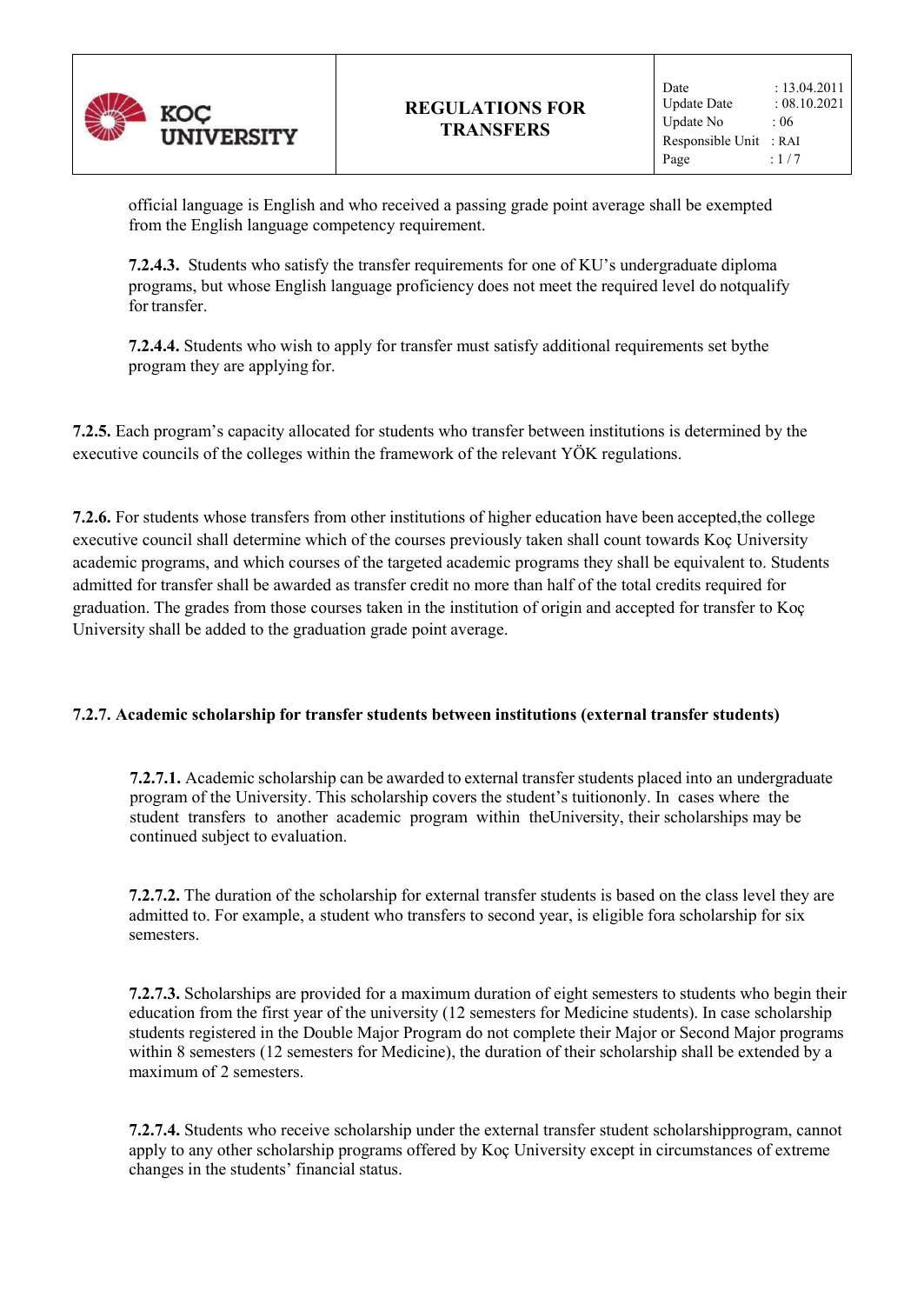

official language is English and who received a passing grade point average shall be exempted from the English language competency requirement.

**7.2.4.3.** Students who satisfy the transfer requirements for one of KU's undergraduate diploma programs, but whose English language proficiency does not meet the required level do not qualify for transfer.

**7.2.4.4.** Students who wish to apply for transfer must satisfy additional requirements set by the program they are applying for.

**7.2.5.** Each program's capacity allocated for students who transfer between institutions is determined by the executive councils of the colleges within the framework of the relevant YÖK regulations.

**7.2.6.** For students whose transfers from other institutions of higher education have been accepted,the college executive council shall determine which of the courses previously taken shall count towards Koç University academic programs, and which courses of the targeted academic programs they shall be equivalent to. Students admitted for transfer shall be awarded as transfer credit no more than half of the total credits required for graduation. The grades from those courses taken in the institution of origin and accepted for transfer to Koç University shall be added to the graduation grade point average.

## **7.2.7. Academic scholarship for transfer students between institutions (external transfer students)**

**7.2.7.1.** Academic scholarship can be awarded to external transfer students placed into an undergraduate program of the University. This scholarship covers the student's tuition only. In cases where the student transfers to another academic program within the University, their scholarships may be continued subject to evaluation.

**7.2.7.2.** The duration of the scholarship for external transfer students is based on the class level they are admitted to. For example, a student who transfers to second year, is eligible for a scholarship for six semesters.

**7.2.7.3.** Scholarships are provided for a maximum duration of eight semesters to students who begin their education from the first year of the university (12 semesters for Medicine students). In case scholarship students registered in the Double Major Program do not complete their Major or Second Major programs within 8 semesters (12 semesters for Medicine), the duration of their scholarship shall be extended by a maximum of 2 semesters.

**7.2.7.4.** Students who receive scholarship under the external transfer student scholarshipprogram, cannot apply to any other scholarship programs offered by Koç University except in circumstances of extreme changes in the students' financial status.